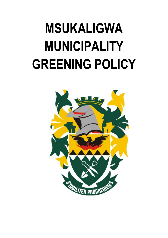# **MSUKALIGWA MUNICIPALITY GREENING POLICY**

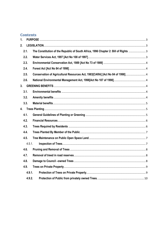# **Contents**

| 1.             |        |                                                                                     |  |
|----------------|--------|-------------------------------------------------------------------------------------|--|
| 2.             |        |                                                                                     |  |
|                | 2.1.   | The Constitution of the Republic of South Africa, 1996 Chapter 2: Bill of Rights  3 |  |
|                | 2.2.   |                                                                                     |  |
|                | 2.3.   |                                                                                     |  |
|                | 2.4.   |                                                                                     |  |
|                | 2.5.   | Conservation of Agricultural Resources Act, 1983[CARA] [Act No 84 of 1998] 4        |  |
|                | 2.6.   |                                                                                     |  |
| 3.             |        |                                                                                     |  |
|                | 3.1.   |                                                                                     |  |
|                | 3.2.   |                                                                                     |  |
|                | 3.3.   |                                                                                     |  |
|                |        |                                                                                     |  |
|                | 4.1.   |                                                                                     |  |
|                | 4.2.   |                                                                                     |  |
|                | 4.3.   |                                                                                     |  |
|                | 4.4.   |                                                                                     |  |
|                | 4.5.   |                                                                                     |  |
|                | 4.5.1. |                                                                                     |  |
|                | 4.6.   |                                                                                     |  |
|                | 4.7.   |                                                                                     |  |
|                | 4.8.   |                                                                                     |  |
| 4.9.<br>4.9.1. |        |                                                                                     |  |
|                |        |                                                                                     |  |
|                | 4.9.2. |                                                                                     |  |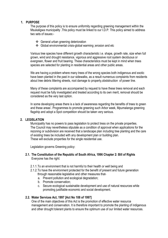## <span id="page-2-0"></span>**1. PURPOSE**

The purpose of this policy is to ensure uniformity regarding greening management within the Msukaligwa municipality .This policy must be linked to our I.D.P. This policy aimed to address two sets of issues:-

- General urban greening deterioration
- Global environmental crisis-global warming ;erosion and etc

Various tree species have different growth characteristic i.e. shape, growth rate, size when full grown, wind and drought resistance, vigorous and aggressive root system deciduous or evergreen, flower and fruit bearing. These characteristics must be kept in mind when trees species are selected for planting in residential areas and other public areas.

We are having a problem where many trees of the wrong species both indigenous and exotic have been planted in the past in our sidewalks, as a result numerous complaints from residents about tree debris littering streets, root damage to property,obststruction of power line.

Many of these complaints are accompanied by request to have these trees removal and each request must be fully investigated and treated according to its own merit, removal should be considered as the very last option.

In some developing areas there is a lack of awareness regarding the benefits of trees to green and these areas'. Programmes to promote greening such Arbor week, Mpumalanga greening flagship and adopt a Spot competition should be taken very serious.

## <span id="page-2-1"></span>**2. LEGISLATION**

Municipality has no powers to pass legislation to protect tress on the private properties. The Council may nevertheless stipulate as a condition of approval when applications for the rezoning or subdivision are received that a landscape plan including tree planting and the care of existing trees be included with any development plan or building plan. These will exclude properties for the single residential use.

Legislation governs Greening policy:

- <span id="page-2-2"></span>**2.1. The Constitution of the Republic of South Africa, 1996 Chapter 2: Bill of Rights** Everyone has the right:
	- 2.1.1.To an environment that is not harmful to their health or well being and
	- 2.1.2.To have the environment protected for the benefit of present and future generation through reasonable legislative and other measures that
		- a. Prevent pollution and ecological degradation;
		- b. Promote conservation;
		- c. Secure ecological sustainable development and use of natural resources while promoting justifiable economic and social development.

## <span id="page-2-3"></span>**2.2. Water Services Act, 1997 [Act No 108 of 1997]**

One of the main objectives of this Act is the promotion of effective water resource management and conservation. It is therefore important to promote the planting of indigenous and other drought tolerant plants to ensure the optimum use of our limited water resources.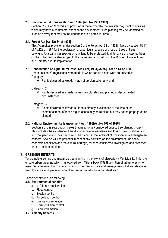## <span id="page-3-0"></span>**2.3. Environmental Conservation Act, 1989 [Act No 73 of 1989]**

Section 21 in Part V of this act, provision is made whereby the minister may identify activities which may have a detrimental effect on the environment. Tree planting may be identified as such an activity that may not be undertaken in a particular area.

# <span id="page-3-1"></span>**2.4. Forest Act [Act No 84 of 1998]**

This Act makes provision under section 5 of the Forest Act 72 of 1968in force by section 89 [4] of Act122 of 1984 for the declaration of a particular species or group of trees or trees belonging to a particular species on any land to be protected. Maintenance of protected trees on the public land is also subject to the necessary approval from the Minster of Water Affairs and Forestry prior to implantation.

# <span id="page-3-2"></span>**2.5. Conservation of Agricultural Resources Act, 1983[CARA] [Act No 84 of 1998]**

Under section 29 regulations were made in which certain plants were cauterized as Category 1

Plants declared as weeds -may not be planted on any land

Category 2

 Plants declared as invaders- may be cultivated and planted under controlled circumstances.

Category 3

 Plants declared as invaders –Plants already in existence at the time of the commencement of these regulatations may be retained but may not be propagated or planted.

## <span id="page-3-3"></span>**2.6. National Environmental Management Act, 1998[Act No 107 of 1998]**

Section 2 of this sets out principles that need to be considered prior to tree planting projects. This includes the avoidance of the disturbance of ecosystems and loss of biological diversity, and that people and their needs must be placed at the forefront of Environmental Management concern. Section 24.The potential impact of any activities on the environment, the socio economic conditions and the cultural heritage, must be considered investigated and assessed prior to implementation.

# <span id="page-3-4"></span>**3. GREENING BENEFITS**

To promote greening and maximize tree planting in the towns of Msukaligwa Municipality. This is to ensure urban greening which has evolved from Miller"s book [1998] definition of urban forestry to mean:"An integrated town wide approach to the planting care and management of all vegetation in town to secure multiple environment and social benefits for urban dwellers."

These benefits include following:

## <span id="page-3-5"></span>**3.1. Environmental benefits**

- a. a .Climate amelioration
- b. Flood control
- c. Erosion control
- d. Air pollution control
- e. Energy conservation
- f. Noise pollution control
- g. Land reclamation
- <span id="page-3-6"></span>**3.2. Amenity benefits**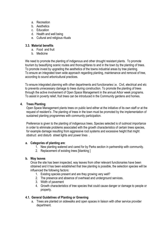- a. Recreation
- b. Aesthetics
- c. Education
- d. Health and well being
- e. Cultural and religious rituals

## <span id="page-4-0"></span>**3.3. Material benefits**

- a. Food and fruit
- b. Medicine

We need to promote the planting of indigenous and other drought resistant plants. To promote tourism by beautifying scenic routes and thoroughfares to and in the town by the planting of trees. To promote invest by upgrading the aesthetics of the towns industrial areas by tree planting. To ensure an integrated town wide approach regarding planting, maintenance and removal of tree, according to sound arboricultural practices.

To ensure integrated planning with other departments and functionaries i.e. Civil, electrical and etc to prevents unnecessary damage to trees during construction. To promote the planting of trees through the active involvement of Open Space Management in the annual Arbor week programs. To assist in poverty relief, fruit trees can be introduced in the Community gardens and homes.

## <span id="page-4-1"></span>**4. Trees Planting**

Open Space Management plants trees on public land either at the initiative of its own staff or at the request of resident"s .The planting of trees in the town must be promoted by the implementation of sustained planting programmes with community participation.

Preference is given to the planting of indigenous trees. Species selected is of outmost importance in order to eliminate problems associated with the growth characteristics of certain trees species, for example damage resulting from aggressive root systems and excessive height that might obstruct and disturb street lights and power lines .

## **a. Categories of planting are**:

- 1. New planting watered and cared for by Parks section in partnership with community.
- 2. Replacement of existing trees [blanking ]

## **b. Way leaves**

Once the site has been inspected, way leaves from other relevant functionaries have been obtained and it has been established that tree planting is possible, the selection species will be influenced the following factors:

- 1. Existing species present and are they growing very well?
- 2. The presence and absence of overhead and underground services.
- 3. Width of pavement
- 4. Growth characteristics of tree species that could cause danger or damage to people or property.

## <span id="page-4-2"></span>**4.1. General Guidelines of Planting or Greening**

a. Trees are planted on sidewalks and open spaces in liaison with other service provider department.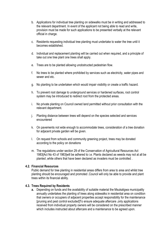- b. Applications for individual tree planting on sidewalks must be in writing and addressed to the relevant department. In event of the applicant not being able to read and write, provision must be made for such applications to be presented verbally at the relevant official in charge.
- c. Residents requesting individual tree planting must undertake to water the tree until it becomes established.
- d. Individual and replacement planting will be carried out when required, and a principle of take out one tree plant one trees shall apply.
- e. Trees are to be planted allowing unobstructed pedestrian flow.
- f. No trees to be planted where prohibited by services such as electricity, water pipes and sewer and etc.
- g. No planting to be undertaken which would impair visibility or create a traffic hazard.
- h. To prevent root damage to underground services or hardened surfaces, root control system may be introduced to redirect root from the protected areas.
- i. No private planting on Council owned land permitted without prior consultation with the relevant department.
- j. Planting distance between trees will depend on the species selected and services encountered
- k. On pavements not wide enough to accommodate trees, consideration of a tree donation for adjacent private garden will be given.
- l. On request from schools and community greening project, trees may be donated according to the policy on donations
- m. The regulations under section 29 of the Conservation of Agricultural Resources Act 1983[Act No 43 of 1983]will be adhered to i.e. Plants declared as weeds may not at all be planted ,while others that have been declared as invaders must be controlled .

#### **4.2. Financial Resources**

<span id="page-5-0"></span>Public demand for tree planting in residential areas differs from area to area and whilst tree planting should be encouraged and promoted .Council will only be able to provide and plant trees within its financial ability.

#### <span id="page-5-1"></span>**4.3. Trees Required by Residents**

**a.** Depending on funds and the availability of suitable material the Msukaligwa municipality annually undertakes the planting of trees along sidewalks in residential area on condition that owners or occupiers of adjacent properties accept responsibility for the maintenance [pruning and pest control excluded]To ensure adequate aftercare ,only applications received from individual property owners will be considered on the prescribed manner which includes instructed about aftercare and a maintenance to be agreed upon.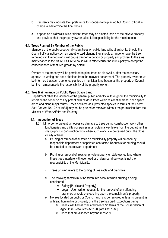- **b.** Residents may indicate their preference for species to be planted but Council official in charge will determine the final choice.
- **c.** If space on a sidewalk is insufficient; trees may be planted inside of the private property and provided that the property owner takes full responsibility for the maintenance.

## <span id="page-6-0"></span>**4.4. Trees Planted By Member of the Public**

Members of the public occasionally plant trees on public land without authority. Should the Council official notice such an unauthorized planting they should arrange to have the tree removed if in their opinion it will cause danger to person or property and problem to the area maintenance in the future. Failure to do so will in effect cause the municipality to accept the consequences of that tree growth by default.

Owners of the property will be permitted to plant trees on sidewalks, after the necessary approval in writing has been obtained from the relevant department. The property owner must be informed that such tree, once planted on municipal land becomes the property of Council but the maintenance is the responsibility of the property owner.

#### <span id="page-6-1"></span>**4.5. Tree Maintenance on Public Open Space Land**

Department relies the vigilance of the general public and official throughout the municipality to report on the condition of any potential hazardous trees within residential areas, open space areas and along major routes .Trees declared as a protected species in terms of the Forest Act 1984[Act No 122 of 1984] may not be pruned or removed without the permission from the Minister of Water Affairs and Forestry.

#### <span id="page-6-2"></span>4.5.1.**Inspection of Trees**

- 4.5.1.1.In order to prevent unnecessary damage to trees during construction work other functionaries and utility companies must obtain a way leave from the department in charge prior to construction work when such work is to be carried out in the close vicinity of trees.
	- a. Pruning or removal of all trees on municipality property will be done by responsible department or appointed contractor. Requests for pruning should be directed to the relevant department
	- b. Pruning or removal of trees on private property or state owned land where these trees interfere with overhead or underground services is not the responsibility of the Municipality.
	- c. Trees pruning refers to the cutting of tree roots and branches.
	- d. The following factors must be taken into account when pruning s being considered:
		- Safety [Public and Property]
		- Legal –Upon written request for the removal of any offending branches or roots encroaching upon the complainant"s property.
	- e. No tree located on public or Council land is to be removed unless its present is a threat human life or property or if the tree has died .Exceptions being:
		- Trees classified as "declared weeds "in terms of the Conservation of Agriculture Resources Act,1983[Act 43of 1983]
		- Trees that are diseased beyond recovery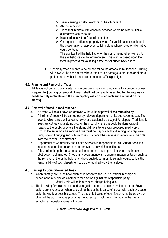- Trees causing a traffic ,electrical or health hazard
- ❖ Allergic reactions
- Trees that interfere with essential services where no other suitable alternatives can be found.
- ❖ In accordance with a Council resolution
- On request of adjacent property owners for vehicle access, subject to the presentation of approved building plans where no other alternative could be found.

The applicant will be held liable for the cost of removal as well as for the aesthetic loss to the environment .This cost be based upon the formula process for valuating a tree as set out on back pages.

f. Generally trees are only to be pruned for sound arboricultural reasons. Pruning will however be considered where trees cause damage to structure or obstruct pedestrian or vehicular access or impede traffic sight sign.

## <span id="page-7-0"></span>**4.6. Pruning and Removal of Trees**

While it is not denied that in certain instances trees may form a nuisance to a property owner, **[request for]** pruning or removal of trees **[shall not be readily assented to, the requestor needs to fully motivate and the municipality will consider each such request on its merits]** 

## <span id="page-7-1"></span>**4.7. Removal of treed in road reserves**

- a. No trees will be cut down or removed without the approval of **the municipality**
- b. All felling of trees will be carried out by relevant department or its agents/contractor. The level to which a tree will be cut is however occasionally a subject for dispute. Traditionally trees are cut leaving a stump prod of the ground where this could be done without hazard to the public or where the stump did not interfere with proposed road works. Should the entire bole be removed this must be disposed of by dumping at a registered dump site or if burying and or burning is considered the necessary permits must be obtain from the relevant department s .
- c. Department of Community and Health Services is responsible for all Council trees, it is incumbent upon the department to remove a tree which constitutes.
- d. A hazard to the public or an obstruction to normal development to where such hazard or obstruction is eliminated. Should any department want abnormal measures taken such as the removal of the entire bole, and where such department is suitably equipped it is the responsibility of such department to do the required work themselves.

## **4.8. Damage to Council –owned Trees**

- <span id="page-7-2"></span>a. When damage to Council owned trees is observed the Council official in charge or department must decide whether to take action against the responsible party.
	- i. Usually this will be in a criminal charge being laid.
- b. The following formula can be used as a guideline to ascertain the value of a tree. Seven factors are into account when calculating the aesthetic value of a tree, with each evaluation factor having four possible values. The appointed value of each factor is multiplied by the other ad the accumulative product is multiplied by a factor of six to provide the overall established monetary value of the tree,
	- i. i.e. factor –axbxcxdxexfxg= total x6 =R –total.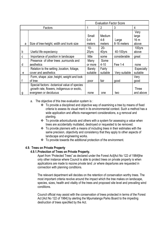|   |                                               | <b>Evaluation Factor Score</b> |                |                |            |
|---|-----------------------------------------------|--------------------------------|----------------|----------------|------------|
|   | Factors                                       |                                | $\overline{2}$ | 3              | 4          |
|   |                                               |                                |                |                | Very       |
|   |                                               | Small                          | Medium         |                | large      |
|   |                                               | $0 - 4$                        | 4-8            | Large          | 16 m       |
| a | Size of tree-height, width and trunk size     | meters                         | meters         | 8-16 meters    | above      |
|   |                                               | 10-                            | $20 -$         |                | 100yrs     |
| b | Useful life expectancy                        | 20yrs                          | 40yrs          | 40-100yrs      | above      |
| C | Importance of position in landscape           | little                         | some           | considerable   | great      |
|   | Presence of other trees, surrounds and        | Many                           | Some           |                |            |
| d | aesthetics                                    | or more                        | $4 - 10$       | <b>Few 1-4</b> | none       |
|   | Relation to the setting , location, foliage,  | <b>Barely</b>                  | Fairly         |                | Especially |
| e | cover and aesthetics                          | suitable                       | suitable       | Very suitable  | suitable   |
|   | Form, shape, size, height, weight and look    |                                |                |                | Very       |
|   | of tree                                       | poor                           | fair           | good           | good       |
|   | Special factors - botanical value of species  |                                |                |                |            |
|   | , growth rate, flowers, indigenous or exotic, |                                |                |                | Three      |
| g | evergreen or deciduous                        | none                           | one            | two            | and above  |

a. The objective of this tree evaluation system is :

- To provide a disciplined and objective way of examining a tree by means of fixed criteria to assess its visual merit in its environmental context. Such a method has a wide application and affects management considerations, e.g removal and planting.
- \* To provide arboricultursts and others with a system for assessing a value when trees are accidentally mutilated, destroyed or requested to be removed.
- $\cdot \cdot$  To provide planners with a means of including trees in their estimates with the same precision, objectivity and consistency that they apply to other aspects of landscape and engineering works.
- To provide towards the additional protection of the environment.

## <span id="page-8-1"></span><span id="page-8-0"></span>**4.9. Trees on Private Property**

#### **4.9.1.Protection of Trees on Private Property.**

Apart from "Protected Trees" as declared under the Forest Act[Act No 122 of 1984]the only other instance where Council is able to protect trees on private property is when applications are made to rezone private land ,or where departures are requested in connection with planning conditions.

The relevant department will decides on the retention of conservation worthy trees. The most important criteria revolve around the impact which the tree makes on landscape, species, sizes, health and vitality of the trees and proposed site level and prevailing wind conditions.

Council official may assist with the conservation of trees protected in terms of the Forest Act [Act No 122 of 1984] by alerting the Mpumalanga Parks Board to the impeding destruction of trees specified by the Act.